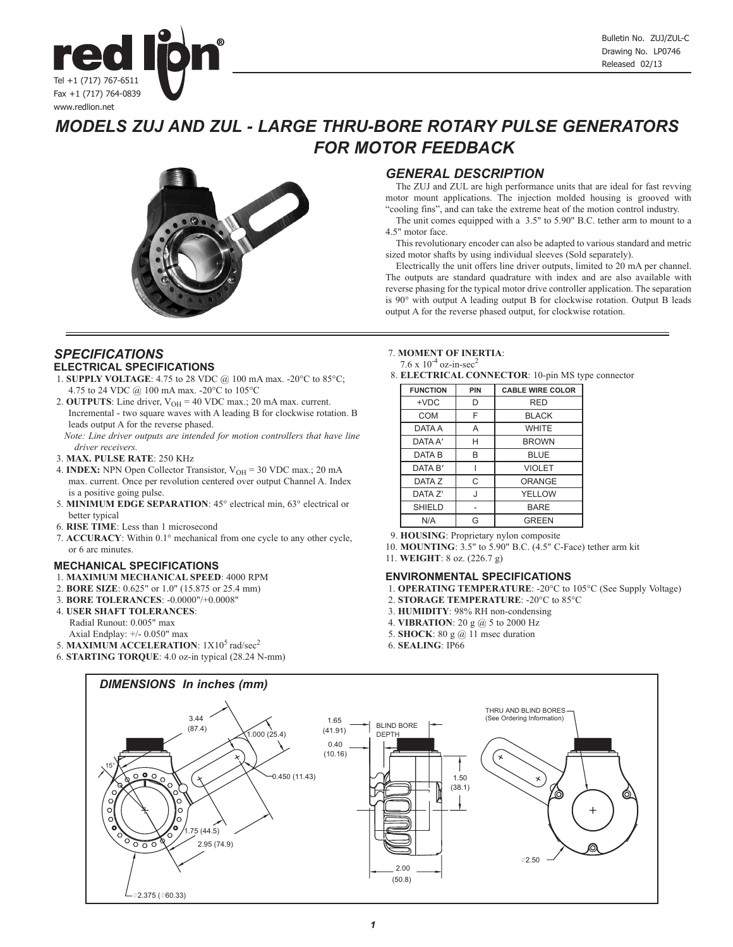

# *MODELS ZUJ AND ZUL - LARGE THRU-BORE ROTARY PULSE GENERATORS FOR MOTOR FEEDBACK*



# *GENERAL DESCRIPTION*

The ZUJ and ZUL are high performance units that are ideal for fast revving motor mount applications. The injection molded housing is grooved with "cooling fins", and can take the extreme heat of the motion control industry.

The unit comes equipped with a 3.5" to 5.90" B.C. tether arm to mount to a 4.5" motor face.

This revolutionary encoder can also be adapted to various standard and metric sized motor shafts by using individual sleeves (Sold separately).

Electrically the unit offers line driver outputs, limited to 20 mA per channel. The outputs are standard quadrature with index and are also available with reverse phasing for the typical motor drive controller application. The separation is 90° with output A leading output B for clockwise rotation. Output B leads output A for the reverse phased output, for clockwise rotation.

## *SPECIFICATIONS* **ELECTRICAL SPECIFICATIONS**

- 1. **SUPPLY VOLTAGE**: 4.75 to 28 VDC @ 100 mA max. -20°C to 85°C; 4.75 to 24 VDC @ 100 mA max. -20°C to 105°C
- 2. **OUTPUTS**: Line driver,  $V_{OH} = 40$  VDC max.; 20 mA max. current. Incremental - two square waves with A leading B for clockwise rotation. B leads output A for the reverse phased.
	- *Note: Line driver outputs are intended for motion controllers that have line driver receivers.*
- 3. **MAX. PULSE RATE**: 250 KHz
- 4. **INDEX:** NPN Open Collector Transistor,  $V_{OH} = 30$  VDC max.; 20 mA max. current. Once per revolution centered over output Channel A. Index is a positive going pulse.
- 5. **MINIMUM EDGE SEPARATION**: 45° electrical min, 63° electrical or better typical
- 6. **RISE TIME**: Less than 1 microsecond
- 7. **ACCURACY**: Within 0.1° mechanical from one cycle to any other cycle, or 6 arc minutes.

## **MECHANICAL SPECIFICATIONS**

- 1. **MAXIMUM MECHANICAL SPEED**: 4000 RPM
- 2. **BORE SIZE**: 0.625" or 1.0" (15.875 or 25.4 mm)
- 3. **BORE TOLERANCES**: -0.0000"/+0.0008"
- 4. **USER SHAFT TOLERANCES**: Radial Runout: 0.005" max Axial Endplay: +/- 0.050" max
- 5. **MAXIMUM ACCELERATION**:  $1X10^5$  rad/sec<sup>2</sup>
- 6. **STARTING TORQUE**: 4.0 oz-in typical (28.24 N-mm)

### 7. **MOMENT OF INERTIA**:

7.6 x  $10^{-4}$  oz-in-sec<sup>2</sup>

8. **ELECTRICAL CONNECTOR**: 10-pin MS type connector

|                 |     | ╯                       |
|-----------------|-----|-------------------------|
| <b>FUNCTION</b> | PIN | <b>CABLE WIRE COLOR</b> |
| $+VDC$          | D   | <b>RED</b>              |
| COM             | F   | <b>BLACK</b>            |
| DATA A          | A   | <b>WHITE</b>            |
| DATA A'         | н   | <b>BROWN</b>            |
| DATA B          | B   | <b>BLUE</b>             |
| DATA B'         |     | <b>VIOLET</b>           |
| DATA Z          | С   | ORANGE                  |
| DATA Z'         | J   | YELLOW                  |
| SHIELD          |     | <b>BARE</b>             |
| N/A             | G   | <b>GREEN</b>            |

9. **HOUSING**: Proprietary nylon composite

- 10. **MOUNTING**: 3.5" to 5.90" B.C. (4.5" C-Face) tether arm kit
- 11. **WEIGHT**: 8 oz. (226.7 g)

## **ENVIRONMENTAL SPECIFICATIONS**

- 1. **OPERATING TEMPERATURE**: -20°C to 105°C (See Supply Voltage)
- 2. **STORAGE TEMPERATURE**: -20°C to 85°C
- 3. **HUMIDITY**: 98% RH non-condensing
- 4. **VIBRATION**: 20 g @ 5 to 2000 Hz
- 5. **SHOCK**: 80 g @ 11 msec duration
- 6. **SEALING**: IP66